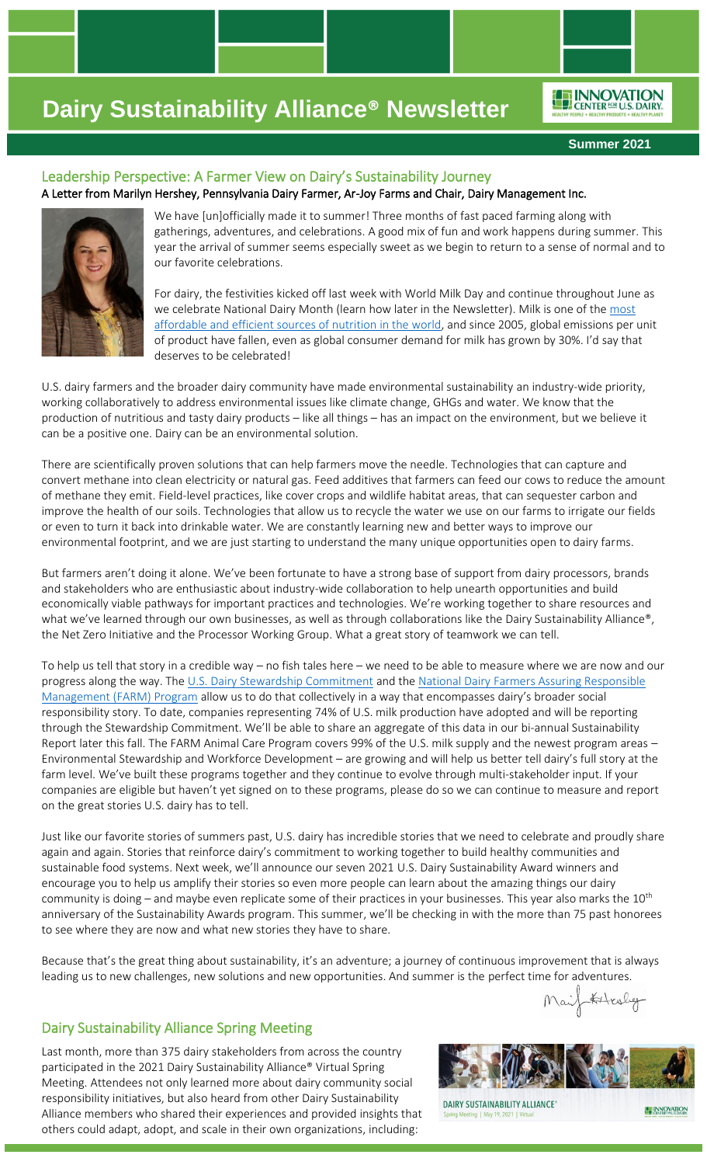**Summer 2021**

ENNOVATION

## Leadership Perspective: A Farmer View on Dairy's Sustainability Journey A Letter from Marilyn Hershey, Pennsylvania Dairy Farmer, Ar-Joy Farms and Chair, Dairy Management Inc.



We have [un]officially made it to summer! Three months of fast paced farming along with gatherings, adventures, and celebrations. A good mix of fun and work happens during summer. This year the arrival of summer seems especially sweet as we begin to return to a sense of normal and to our favorite celebrations.

For dairy, the festivities kicked off last week with World Milk Day and continue throughout June as we celebrate National Dairy Month (learn how later in the Newsletter). Milk is one of the most [affordable and efficient sources of nutrition in the world,](https://www.linkedin.com/posts/innovation-center-for-us-dairy_worldmilkday-activity-6805535717335318528-2C9h) and since 2005, global emissions per unit of product have fallen, even as global consumer demand for milk has grown by 30%. I'd say that deserves to be celebrated!

U.S. dairy farmers and the broader dairy community have made environmental sustainability an industry-wide priority, working collaboratively to address environmental issues like climate change, GHGs and water. We know that the production of nutritious and tasty dairy products – like all things – has an impact on the environment, but we believe it can be a positive one. Dairy can be an environmental solution.

There are scientifically proven solutions that can help farmers move the needle. Technologies that can capture and convert methane into clean electricity or natural gas. Feed additives that farmers can feed our cows to reduce the amount of methane they emit. Field-level practices, like cover crops and wildlife habitat areas, that can sequester carbon and improve the health of our soils. Technologies that allow us to recycle the water we use on our farms to irrigate our fields or even to turn it back into drinkable water. We are constantly learning new and better ways to improve our environmental footprint, and we are just starting to understand the many unique opportunities open to dairy farms.

But farmers aren't doing it alone. We've been fortunate to have a strong base of support from dairy processors, brands and stakeholders who are enthusiastic about industry-wide collaboration to help unearth opportunities and build economically viable pathways for important practices and technologies. We're working together to share resources and what we've learned through our own businesses, as well as through collaborations like the Dairy Sustainability Alliance®, the Net Zero Initiative and the Processor Working Group. What a great story of teamwork we can tell.

To help us tell that story in a credible way – no fish tales here – we need to be able to measure where we are now and our progress along the way. The [U.S. Dairy Stewardship Commitment](https://www.usdairy.com/about-us/innovation-center/stewardship-commitment) and the National Dairy Farmers Assuring Responsible [Management \(FARM\) Program](https://nationaldairyfarm.com/) allow us to do that collectively in a way that encompasses dairy's broader social responsibility story. To date, companies representing 74% of U.S. milk production have adopted and will be reporting through the Stewardship Commitment. We'll be able to share an aggregate of this data in our bi-annual Sustainability Report later this fall. The FARM Animal Care Program covers 99% of the U.S. milk supply and the newest program areas – Environmental Stewardship and Workforce Development – are growing and will help us better tell dairy's full story at the farm level. We've built these programs together and they continue to evolve through multi-stakeholder input. If your companies are eligible but haven't yet signed on to these programs, please do so we can continue to measure and report on the great stories U.S. dairy has to tell.

Just like our favorite stories of summers past, U.S. dairy has incredible stories that we need to celebrate and proudly share again and again. Stories that reinforce dairy's commitment to working together to build healthy communities and sustainable food systems. Next week, we'll announce our seven 2021 U.S. Dairy Sustainability Award winners and encourage you to help us amplify their stories so even more people can learn about the amazing things our dairy community is doing – and maybe even replicate some of their practices in your businesses. This year also marks the  $10^{th}$ anniversary of the Sustainability Awards program. This summer, we'll be checking in with the more than 75 past honorees to see where they are now and what new stories they have to share.

Because that's the great thing about sustainability, it's an adventure; a journey of continuous improvement that is always leading us to new challenges, new solutions and new opportunities. And summer is the perfect time for adventures.

## Dairy Sustainability Alliance Spring Meeting

Last month, more than 375 dairy stakeholders from across the country participated in the 2021 Dairy Sustainability Alliance® Virtual Spring Meeting. Attendees not only learned more about dairy community social responsibility initiatives, but also heard from other Dairy Sustainability Alliance members who shared their experiences and provided insights that others could adapt, adopt, and scale in their own organizations, including:



Kitculy

**ENNOVATION** 

DAIRY SUSTAINABILITY ALLIANCE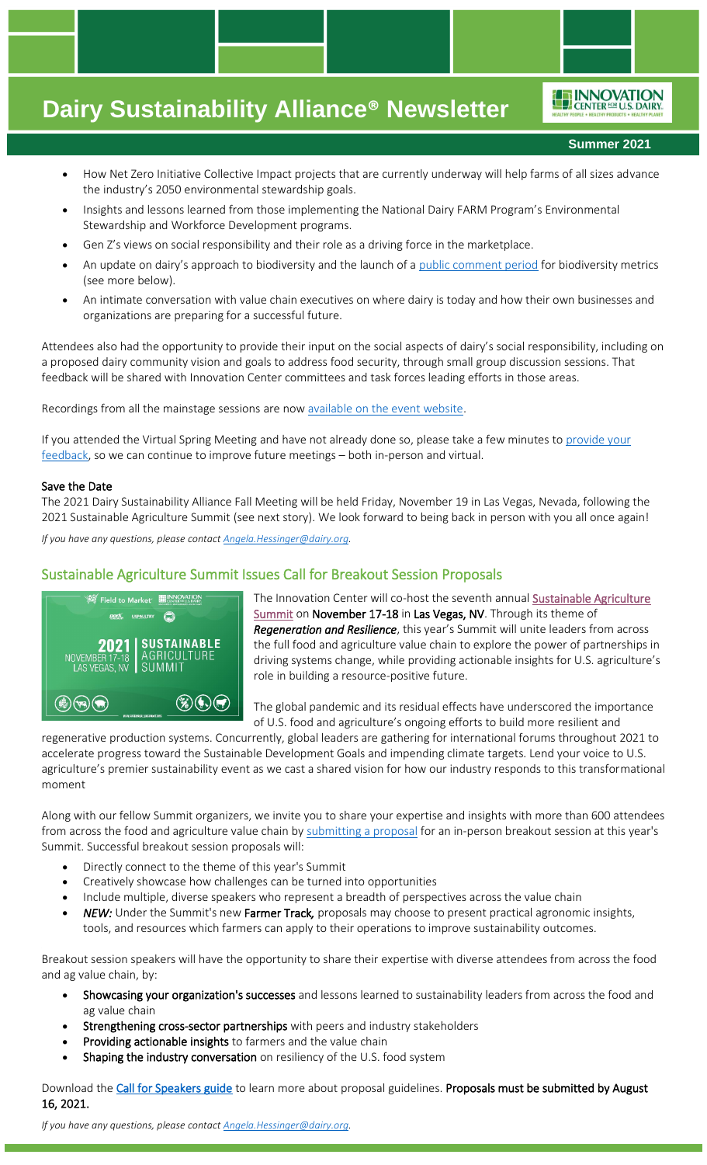**Summer 2021**

ENNOVATION

- How Net Zero Initiative Collective Impact projects that are currently underway will help farms of all sizes advance the industry's 2050 environmental stewardship goals.
- Insights and lessons learned from those implementing the National Dairy FARM Program's Environmental Stewardship and Workforce Development programs.
- Gen Z's views on social responsibility and their role as a driving force in the marketplace.
- An update on dairy's approach to biodiversity and the launch of a [public comment period](https://dairymanagement.qualtrics.com/jfe/form/SV_5v9iB0oXYjuxAxv) for biodiversity metrics (see more below).
- An intimate conversation with value chain executives on where dairy is today and how their own businesses and organizations are preparing for a successful future.

Attendees also had the opportunity to provide their input on the social aspects of dairy's social responsibility, including on a proposed dairy community vision and goals to address food security, through small group discussion sessions. That feedback will be shared with Innovation Center committees and task forces leading efforts in those areas.

Recordings from all the mainstage sessions are no[w available on the event website.](http://alliancemeeting.usdairy.com/#/Agenda)

If you attended the Virtual Spring Meeting and have not already done so, please take a few minutes to **provide your** [feedback,](https://dairymanagement.qualtrics.com/jfe/form/SV_ebyAbZY8BqVFYwe) so we can continue to improve future meetings – both in-person and virtual.

#### Save the Date

The 2021 Dairy Sustainability Alliance Fall Meeting will be held Friday, November 19 in Las Vegas, Nevada, following the 2021 Sustainable Agriculture Summit (see next story). We look forward to being back in person with you all once again!

*If you have any questions, please contac[t Angela.Hessinger@dairy.org.](mailto:Angela.Hessinger@dairy.org)*

## Sustainable Agriculture Summit Issues Call for Breakout Session Proposals



The Innovation Center will co-host the seventh annual [Sustainable Agriculture](http://www.sustainableagsummit.org/)  [Summit](http://www.sustainableagsummit.org/) on November 17-18 in Las Vegas, NV. Through its theme of *Regeneration and Resilience*, this year's Summit will unite leaders from across the full food and agriculture value chain to explore the power of partnerships in driving systems change, while providing actionable insights for U.S. agriculture's role in building a resource-positive future.

The global pandemic and its residual effects have underscored the importance of U.S. food and agriculture's ongoing efforts to build more resilient and

regenerative production systems. Concurrently, global leaders are gathering for international forums throughout 2021 to accelerate progress toward the Sustainable Development Goals and impending climate targets. Lend your voice to U.S. agriculture's premier sustainability event as we cast a shared vision for how our industry responds to this transformational moment

Along with our fellow Summit organizers, we invite you to share your expertise and insights with more than 600 attendees from across the food and agriculture value chain by [submitting a proposal](https://www.abstractscorecard.com/cfp/submit/login.asp?EventKey=SHBLBBTY&mc_cid=d6774606b9&mc_eid=a736b1de49) for an in-person breakout session at this year's Summit. Successful breakout session proposals will:

- Directly connect to the theme of this year's Summit
- Creatively showcase how challenges can be turned into opportunities
- Include multiple, diverse speakers who represent a breadth of perspectives across the value chain
- *NEW:* Under the Summit's newFarmer Track*,* proposals may choose to present practical agronomic insights, tools, and resources which farmers can apply to their operations to improve sustainability outcomes.

Breakout session speakers will have the opportunity to share their expertise with diverse attendees from across the food and ag value chain, by:

- Showcasing your organization's successes and lessons learned to sustainability leaders from across the food and ag value chain
- Strengthening cross-sector partnerships with peers and industry stakeholders
- Providing actionable insights to farmers and the value chain
- Shaping the industry conversation on resiliency of the U.S. food system

Download th[e Call for Speakers guide](https://nam12.safelinks.protection.outlook.com/?url=https%3A%2F%2Fsustainableagsummit.us9.list-manage.com%2Ftrack%2Fclick%3Fu%3D5ec1796069057892bdc914978%26id%3D355c3ecb02%26e%3Da736b1de49&data=04%7C01%7Cangela.hessinger%40dairy.org%7C96fc21199c694de66a8808d9204eaae8%7C4a5c3ca3613143b194be00fe342a7c7c%7C0%7C1%7C637576345922776328%7CUnknown%7CTWFpbGZsb3d8eyJWIjoiMC4wLjAwMDAiLCJQIjoiV2luMzIiLCJBTiI6Ik1haWwiLCJXVCI6Mn0%3D%7C3000&sdata=75jpvl8aDRHVcHET0K8liUTICYZUkdl1Af9r1pqmRLk%3D&reserved=0) to learn more about proposal guidelines. Proposals must be submitted by August 16, 2021.

*If you have any questions, please contac[t Angela.Hessinger@dairy.org.](mailto:Angela.Hessinger@dairy.org)*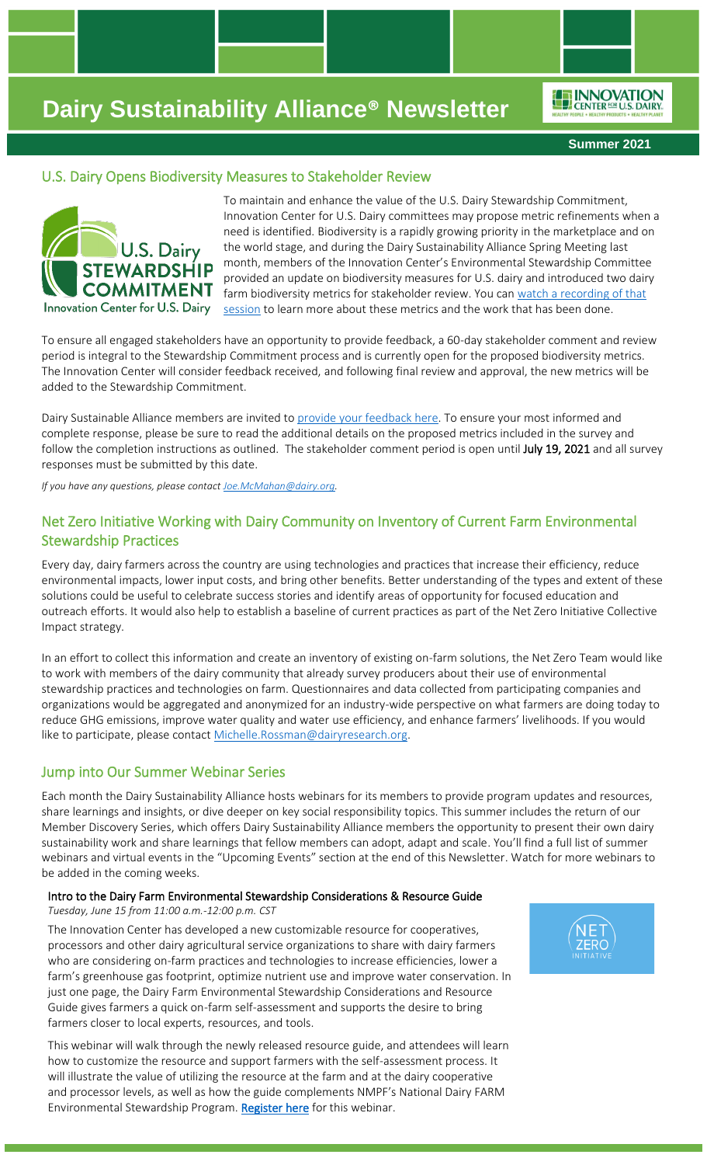ENNOVATION

**Summer 2021**

## U.S. Dairy Opens Biodiversity Measures to Stakeholder Review



To maintain and enhance the value of the U.S. Dairy Stewardship Commitment, Innovation Center for U.S. Dairy committees may propose metric refinements when a need is identified. Biodiversity is a rapidly growing priority in the marketplace and on the world stage, and during the Dairy Sustainability Alliance Spring Meeting last month, members of the Innovation Center's Environmental Stewardship Committee provided an update on biodiversity measures for U.S. dairy and introduced two dairy farm biodiversity metrics for stakeholder review. You can watch a recording of that [session](https://vimeo.com/555390034/5c7230335b) to learn more about these metrics and the work that has been done.

To ensure all engaged stakeholders have an opportunity to provide feedback, a 60-day stakeholder comment and review period is integral to the Stewardship Commitment process and is currently open for the proposed biodiversity metrics. The Innovation Center will consider feedback received, and following final review and approval, the new metrics will be added to the Stewardship Commitment.

Dairy Sustainable Alliance members are invited t[o provide your feedback here.](https://dairymanagement.qualtrics.com/jfe/form/SV_5v9iB0oXYjuxAxv) To ensure your most informed and complete response, please be sure to read the additional details on the proposed metrics included in the survey and follow the completion instructions as outlined. The stakeholder comment period is open until July 19, 2021 and all survey responses must be submitted by this date.

*If you have any questions, please contac[t Joe.McMahan@dairy.org.](mailto:Joe.McMahan@dairy.org)*

## Net Zero Initiative Working with Dairy Community on Inventory of Current Farm Environmental Stewardship Practices

Every day, dairy farmers across the country are using technologies and practices that increase their efficiency, reduce environmental impacts, lower input costs, and bring other benefits. Better understanding of the types and extent of these solutions could be useful to celebrate success stories and identify areas of opportunity for focused education and outreach efforts. It would also help to establish a baseline of current practices as part of the Net Zero Initiative Collective Impact strategy.

In an effort to collect this information and create an inventory of existing on-farm solutions, the Net Zero Team would like to work with members of the dairy community that already survey producers about their use of environmental stewardship practices and technologies on farm. Questionnaires and data collected from participating companies and organizations would be aggregated and anonymized for an industry-wide perspective on what farmers are doing today to reduce GHG emissions, improve water quality and water use efficiency, and enhance farmers' livelihoods. If you would like to participate, please contact [Michelle.Rossman@dairyresearch.org.](mailto:Michelle.Rossman@dairyresearch.org)

## Jump into Our Summer Webinar Series

Each month the Dairy Sustainability Alliance hosts webinars for its members to provide program updates and resources, share learnings and insights, or dive deeper on key social responsibility topics. This summer includes the return of our Member Discovery Series, which offers Dairy Sustainability Alliance members the opportunity to present their own dairy sustainability work and share learnings that fellow members can adopt, adapt and scale. You'll find a full list of summer webinars and virtual events in the "Upcoming Events" section at the end of this Newsletter. Watch for more webinars to be added in the coming weeks.

#### Intro to the Dairy Farm Environmental Stewardship Considerations & Resource Guide *Tuesday, June 15 from 11:00 a.m.-12:00 p.m. CST*

The Innovation Center has developed a new customizable resource for cooperatives, processors and other dairy agricultural service organizations to share with dairy farmers who are considering on-farm practices and technologies to increase efficiencies, lower a farm's greenhouse gas footprint, optimize nutrient use and improve water conservation. In just one page, the Dairy Farm Environmental Stewardship Considerations and Resource Guide gives farmers a quick on-farm self-assessment and supports the desire to bring farmers closer to local experts, resources, and tools.

This webinar will walk through the newly released resource guide, and attendees will learn how to customize the resource and support farmers with the self-assessment process. It will illustrate the value of utilizing the resource at the farm and at the dairy cooperative and processor levels, as well as how the guide complements NMPF's National Dairy FARM Environmental Stewardship Program[. Register here](https://dairy.zoom.us/webinar/register/WN_9MkMJGqCT6StPW7B0J2czw) for this webinar.

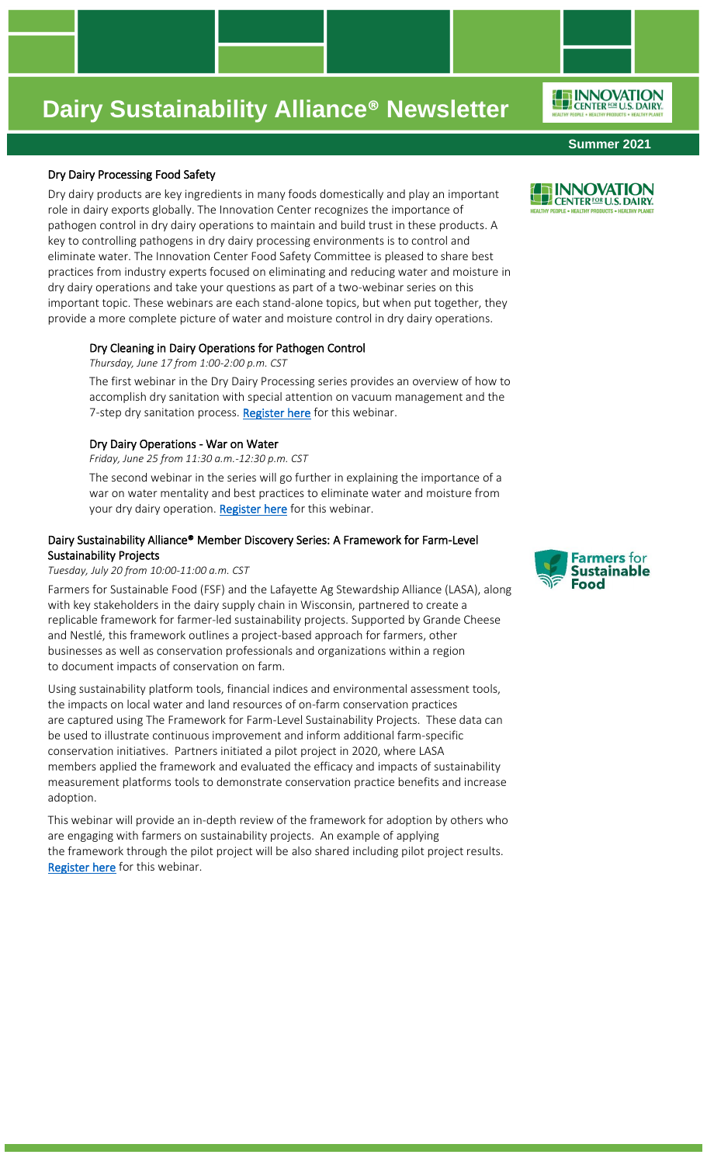### Dry Dairy Processing Food Safety

Dry dairy products are key ingredients in many foods domestically and play an important role in dairy exports globally. The Innovation Center recognizes the importance of pathogen control in dry dairy operations to maintain and build trust in these products. A key to controlling pathogens in dry dairy processing environments is to control and eliminate water. The Innovation Center Food Safety Committee is pleased to share best practices from industry experts focused on eliminating and reducing water and moisture in dry dairy operations and take your questions as part of a two-webinar series on this important topic. These webinars are each stand-alone topics, but when put together, they provide a more complete picture of water and moisture control in dry dairy operations.

### Dry Cleaning in Dairy Operations for Pathogen Control

*Thursday, June 17 from 1:00-2:00 p.m. CST* 

The first webinar in the Dry Dairy Processing series provides an overview of how to accomplish dry sanitation with special attention on vacuum management and the 7-step dry sanitation process. [Register here](https://dairy.zoom.us/webinar/register/WN_rena8W_uSGWal8Htfs_vAQ) for this webinar.

### Dry Dairy Operations - War on Water

*Friday, June 25 from 11:30 a.m.-12:30 p.m. CST* 

The second webinar in the series will go further in explaining the importance of a war on water mentality and best practices to eliminate water and moisture from your dry dairy operation. [Register here](https://dairy.zoom.us/webinar/register/WN_a6AdwbaLQFyrLeuquXS0Gg) for this webinar.

## Dairy Sustainability Alliance® Member Discovery Series: A Framework for Farm-Level Sustainability Projects

### *Tuesday, July 20 from 10:00-11:00 a.m. CST*

Farmers for Sustainable Food (FSF) and the Lafayette Ag Stewardship Alliance (LASA), along with key stakeholders in the dairy supply chain in Wisconsin, partnered to create a replicable framework for farmer-led sustainability projects. Supported by Grande Cheese and Nestlé, this framework outlines a project-based approach for farmers, other businesses as well as conservation professionals and organizations within a region to document impacts of conservation on farm.

Using sustainability platform tools, financial indices and environmental assessment tools, the impacts on local water and land resources of on-farm conservation practices are captured using The Framework for Farm-Level Sustainability Projects. These data can be used to illustrate continuous improvement and inform additional farm-specific conservation initiatives. Partners initiated a pilot project in 2020, where LASA members applied the framework and evaluated the efficacy and impacts of sustainability measurement platforms tools to demonstrate conservation practice benefits and increase adoption.

This webinar will provide an in-depth review of the framework for adoption by others who are engaging with farmers on sustainability projects. An example of applying the framework through the pilot project will be also shared including pilot project results. [Register here](https://dairy.zoom.us/webinar/register/WN_IMIoDw8VSw2evUIilmUNxA) for this webinar.







**Summer 2021**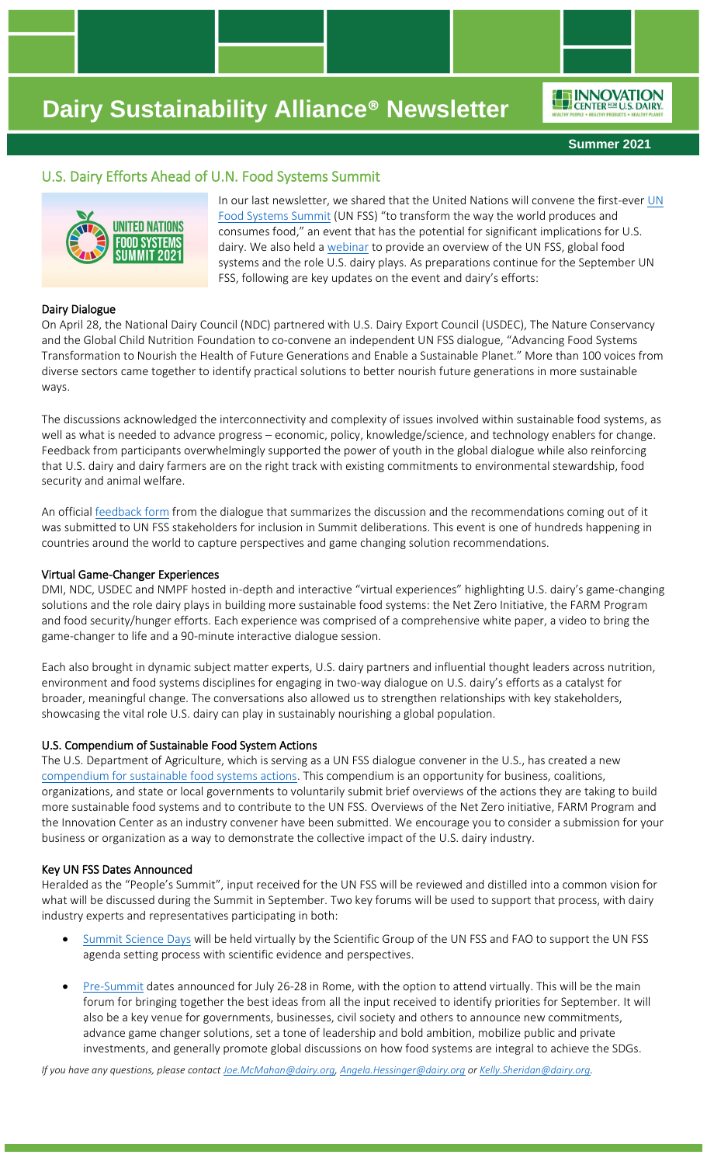ENNOVATION

**Summer 2021**

## U.S. Dairy Efforts Ahead of U.N. Food Systems Summit



In our last newsletter, we shared that the United Nations will convene the first-eve[r UN](https://www.un.org/en/food-systems-summit)  [Food Systems Summit](https://www.un.org/en/food-systems-summit) (UN FSS) "to transform the way the world produces and consumes food," an event that has the potential for significant implications for U.S. dairy. We also held [a webinar](https://vimeo.com/534985156/3bb50e4b02) to provide an overview of the UN FSS, global food systems and the role U.S. dairy plays. As preparations continue for the September UN FSS, following are key updates on the event and dairy's efforts:

### Dairy Dialogue

On April 28, the National Dairy Council (NDC) partnered with U.S. Dairy Export Council (USDEC), The Nature Conservancy and the Global Child Nutrition Foundation to co-convene an independent UN FSS dialogue, "Advancing Food Systems Transformation to Nourish the Health of Future Generations and Enable a Sustainable Planet." More than 100 voices from diverse sectors came together to identify practical solutions to better nourish future generations in more sustainable ways.

The discussions acknowledged the interconnectivity and complexity of issues involved within sustainable food systems, as well as what is needed to advance progress – economic, policy, knowledge/science, and technology enablers for change. Feedback from participants overwhelmingly supported the power of youth in the global dialogue while also reinforcing that U.S. dairy and dairy farmers are on the right track with existing commitments to environmental stewardship, food security and animal welfare.

An official [feedback form](https://nam12.safelinks.protection.outlook.com/?url=https%3A%2F%2Fsummitdialogues.org%2Fdialogue%2F8433%2F&data=04%7C01%7Cangela.hessinger%40dairy.org%7Ca9897e983ad949ad24a808d926d60390%7C4a5c3ca3613143b194be00fe342a7c7c%7C0%7C0%7C637583522898521319%7CUnknown%7CTWFpbGZsb3d8eyJWIjoiMC4wLjAwMDAiLCJQIjoiV2luMzIiLCJBTiI6Ik1haWwiLCJXVCI6Mn0%3D%7C1000&sdata=atfzjYj3%2FgxNL8Ce6W9bzHhsESX1tnoN0%2F0jGFhHh6g%3D&reserved=0) from the dialogue that summarizes the discussion and the recommendations coming out of it was submitted to UN FSS stakeholders for inclusion in Summit deliberations. This event is one of hundreds happening in countries around the world to capture perspectives and game changing solution recommendations.

#### Virtual Game-Changer Experiences

DMI, NDC, USDEC and NMPF hosted in-depth and interactive "virtual experiences" highlighting U.S. dairy's game-changing solutions and the role dairy plays in building more sustainable food systems: the Net Zero Initiative, the FARM Program and food security/hunger efforts. Each experience was comprised of a comprehensive white paper, a video to bring the game-changer to life and a 90-minute interactive dialogue session.

Each also brought in dynamic subject matter experts, U.S. dairy partners and influential thought leaders across nutrition, environment and food systems disciplines for engaging in two-way dialogue on U.S. dairy's efforts as a catalyst for broader, meaningful change. The conversations also allowed us to strengthen relationships with key stakeholders, showcasing the vital role U.S. dairy can play in sustainably nourishing a global population.

#### U.S. Compendium of Sustainable Food System Actions

The U.S. Department of Agriculture, which is serving as a UN FSS dialogue convener in the U.S., has created a new [compendium for sustainable food systems actions.](https://www.usda.gov/oce/sustainability/foodsystems/compendium) This compendium is an opportunity for business, coalitions, organizations, and state or local governments to voluntarily submit brief overviews of the actions they are taking to build more sustainable food systems and to contribute to the UN FSS. Overviews of the Net Zero initiative, FARM Program and the Innovation Center as an industry convener have been submitted. We encourage you to consider a submission for your business or organization as a way to demonstrate the collective impact of the U.S. dairy industry.

#### Key UN FSS Dates Announced

Heralded as the "People's Summit", input received for the UN FSS will be reviewed and distilled into a common vision for what will be discussed during the Summit in September. Two key forums will be used to support that process, with dairy industry experts and representatives participating in both:

- [Summit Science Days](https://www.un.org/en/food-systems-summit/events/summit-science-days) will be held virtually by the Scientific Group of the UN FSS and FAO to support the UN FSS agenda setting process with scientific evidence and perspectives.
- [Pre-Summit](https://www.un.org/en/food-systems-summit/pre-summit) dates announced for July 26-28 in Rome, with the option to attend virtually. This will be the main forum for bringing together the best ideas from all the input received to identify priorities for September. It will also be a key venue for governments, businesses, civil society and others to announce new commitments, advance game changer solutions, set a tone of leadership and bold ambition, mobilize public and private investments, and generally promote global discussions on how food systems are integral to achieve the SDGs.

*If you have any questions, please contact [Joe.McMahan@dairy.org,](mailto:Joe.McMahan@dairy.org) [Angela.Hessinger@dairy.org](mailto:Angela.Hessinger@dairy.org) o[r Kelly.Sheridan@dairy.org.](mailto:Kelly.Sheridan@dairy.org)*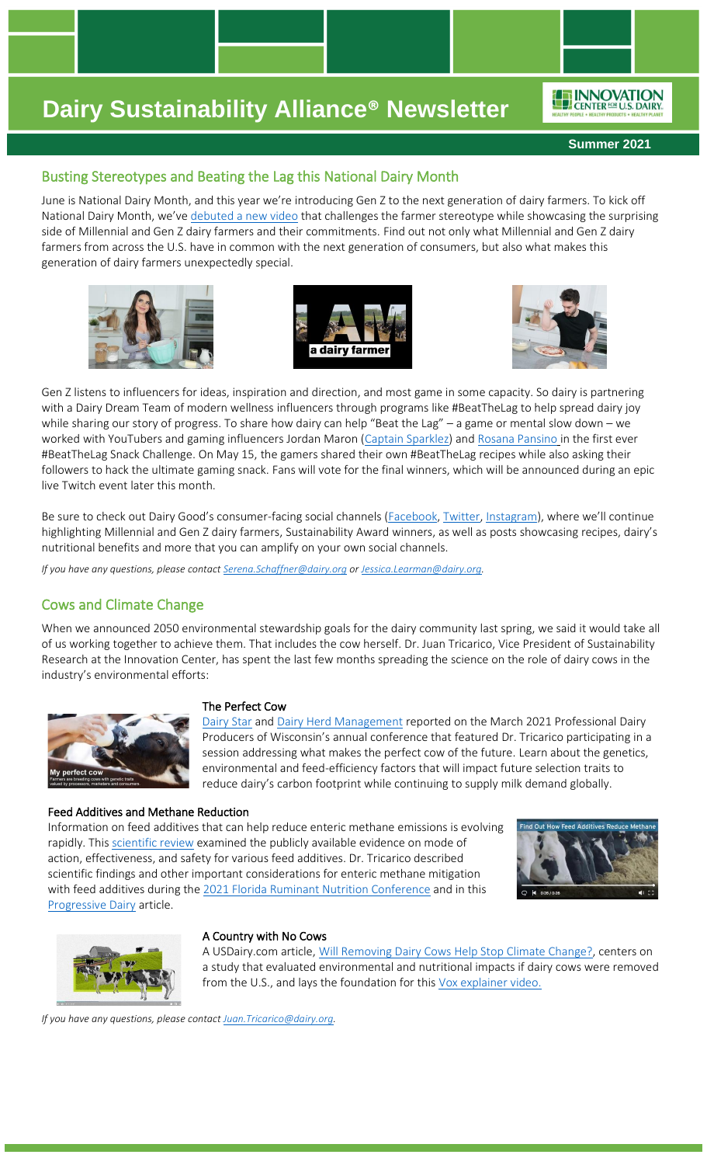ENNOVATION

## Busting Stereotypes and Beating the Lag this National Dairy Month

June is National Dairy Month, and this year we're introducing Gen Z to the next generation of dairy farmers. To kick off National Dairy Month, we've debuted [a new video](https://www.youtube.com/watch?v=OAmoFq1LZO8&t=1s) that challenges the farmer stereotype while showcasing the surprising side of Millennial and Gen Z dairy farmers and their commitments. Find out not only what Millennial and Gen Z dairy farmers from across the U.S. have in common with the next generation of consumers, but also what makes this generation of dairy farmers unexpectedly special.







Gen Z listens to influencers for ideas, inspiration and direction, and most game in some capacity. So dairy is partnering with a Dairy Dream Team of modern wellness influencers through programs like #BeatTheLag to help spread dairy joy while sharing our story of progress. To share how dairy can help "Beat the Lag" – a game or mental slow down – we worked with YouTubers and gaming influencers Jordan Maron [\(Captain Sparklez\)](https://www.youtube.com/channel/UCshoKvlZGZ20rVgazZp5vnQ) an[d Rosana Pansino](https://www.youtube.com/channel/UCjwmbv6NE4mOh8Z8VhPUx1Q) in the first ever #BeatTheLag Snack Challenge. On May 15, the gamers shared their own #BeatTheLag recipes while also asking their followers to hack the ultimate gaming snack. Fans will vote for the final winners, which will be announced during an epic live Twitch event later this month.

Be sure to check out Dairy Good's consumer-facing social channels [\(Facebook,](https://www.facebook.com/DairyGood/) [Twitter,](https://twitter.com/DairyGood) [Instagram\)](https://www.instagram.com/dairygood/), where we'll continue highlighting Millennial and Gen Z dairy farmers, Sustainability Award winners, as well as posts showcasing recipes, dairy's nutritional benefits and more that you can amplify on your own social channels.

*If you have any questions, please contact [Serena.Schaffner@dairy.org](mailto:Serena.Schaffner@dairy.org) or [Jessica.Learman@dairy.org.](mailto:Jessica.Learman@dairy.org)* 

## Cows and Climate Change

When we announced 2050 environmental stewardship goals for the dairy community last spring, we said it would take all of us working together to achieve them. That includes the cow herself. Dr. Juan Tricarico, Vice President of Sustainability Research at the Innovation Center, has spent the last few months spreading the science on the role of dairy cows in the industry's environmental efforts:



### The Perfect Cow

[Dairy Star](https://nam12.safelinks.protection.outlook.com/?url=https%3A%2F%2Fwww.dairystar.com%2FContent%2FNews%2FDaily-News%2FArticle%2FNo-two-animals-are-the-same%2F1%2F256%2F17415&data=04%7C01%7Cangela.hessinger%40dairy.org%7Ce0e3c9be53e34d9f5ad608d9207a3872%7C4a5c3ca3613143b194be00fe342a7c7c%7C0%7C0%7C637576531574718617%7CUnknown%7CTWFpbGZsb3d8eyJWIjoiMC4wLjAwMDAiLCJQIjoiV2luMzIiLCJBTiI6Ik1haWwiLCJXVCI6Mn0%3D%7C1000&sdata=Y%2FmYYsBzZNXoa%2BHAcUQXTPOSydGTMICVJegb2x%2FMcR4%3D&reserved=0) and [Dairy Herd Management](https://nam12.safelinks.protection.outlook.com/?url=https%3A%2F%2Fwww.dairyherd.com%2Fnews%2Fdairy-production%2Fcreating-perfect-cow-future&data=04%7C01%7Cangela.hessinger%40dairy.org%7Ce0e3c9be53e34d9f5ad608d9207a3872%7C4a5c3ca3613143b194be00fe342a7c7c%7C0%7C0%7C637576531574728576%7CUnknown%7CTWFpbGZsb3d8eyJWIjoiMC4wLjAwMDAiLCJQIjoiV2luMzIiLCJBTiI6Ik1haWwiLCJXVCI6Mn0%3D%7C1000&sdata=0C4Na27fbQSgL6FeLnenZ85paMj1PNhnOfikF%2F%2Fke3E%3D&reserved=0) reported on the March 2021 Professional Dairy Producers of Wisconsin's annual conference that featured Dr. Tricarico participating in a session addressing what makes the perfect cow of the future. Learn about the genetics, environmental and feed-efficiency factors that will impact future selection traits to reduce dairy's carbon footprint while continuing to supply milk demand globally.

### Feed Additives and Methane Reduction

Information on feed additives that can help reduce enteric methane emissions is evolving rapidly. This [scientific review](https://nam12.safelinks.protection.outlook.com/?url=https%3A%2F%2Fdoi.org%2F10.1071%2FAN20295&data=04%7C01%7Cangela.hessinger%40dairy.org%7Ce0e3c9be53e34d9f5ad608d9207a3872%7C4a5c3ca3613143b194be00fe342a7c7c%7C0%7C0%7C637576531574728576%7CUnknown%7CTWFpbGZsb3d8eyJWIjoiMC4wLjAwMDAiLCJQIjoiV2luMzIiLCJBTiI6Ik1haWwiLCJXVCI6Mn0%3D%7C1000&sdata=HgYPVYJZqnOdQ9wyaBaBpA%2B94CXwN2SO1tXesYeTI1U%3D&reserved=0) examined the publicly available evidence on mode of action, effectiveness, and safety for various feed additives. Dr. Tricarico described scientific findings and other important considerations for enteric methane mitigation with feed additives during the [2021 Florida Ruminant Nutrition Conference](https://nam12.safelinks.protection.outlook.com/?url=https%3A%2F%2Fwww.youtube.com%2Fwatch%3Fv%3DU0qaL2jLjwI&data=04%7C01%7Cangela.hessinger%40dairy.org%7Ce0e3c9be53e34d9f5ad608d9207a3872%7C4a5c3ca3613143b194be00fe342a7c7c%7C0%7C0%7C637576531574728576%7CUnknown%7CTWFpbGZsb3d8eyJWIjoiMC4wLjAwMDAiLCJQIjoiV2luMzIiLCJBTiI6Ik1haWwiLCJXVCI6Mn0%3D%7C1000&sdata=0uULv7CTGIg4ubiHmvEZ1EJjZDYmwaJMF5%2BnT5BukqQ%3D&reserved=0) and in this [Progressive Dairy](https://nam12.safelinks.protection.outlook.com/?url=https%3A%2F%2Fwww.progressivedairy.com%2Ftopics%2Fmanagement%2Ffeed-additives-to-reduce-dairy-enteric-methane-emissions-what-is-available-for-farms-today&data=04%7C01%7Cangela.hessinger%40dairy.org%7Ce0e3c9be53e34d9f5ad608d9207a3872%7C4a5c3ca3613143b194be00fe342a7c7c%7C0%7C0%7C637576531574738529%7CUnknown%7CTWFpbGZsb3d8eyJWIjoiMC4wLjAwMDAiLCJQIjoiV2luMzIiLCJBTiI6Ik1haWwiLCJXVCI6Mn0%3D%7C1000&sdata=GNdAGUvkTxqezEHKB7LsPRHbCAJn6iXFmQa6tJSBEKE%3D&reserved=0) article.





### A Country with No Cows

A USDairy.com article, [Will Removing Dairy Cows Help Stop Climate Change?,](https://www.usdairy.com/news-articles/dairy-cows-and-climate-change) centers on a study that evaluated environmental and nutritional impacts if dairy cows were removed from the U.S., and lays the foundation for this [Vox explainer video.](https://nam12.safelinks.protection.outlook.com/?url=https%3A%2F%2Fwww.vox.com%2Fad%2F22362045%2Fdairy-cows-nutritional-impact-environment&data=04%7C01%7Cangela.hessinger%40dairy.org%7Ce0e3c9be53e34d9f5ad608d9207a3872%7C4a5c3ca3613143b194be00fe342a7c7c%7C0%7C0%7C637576531574738529%7CUnknown%7CTWFpbGZsb3d8eyJWIjoiMC4wLjAwMDAiLCJQIjoiV2luMzIiLCJBTiI6Ik1haWwiLCJXVCI6Mn0%3D%7C1000&sdata=yJYWSIp9QV3heUPO6%2FP4lRA8%2FLY1locdZu2zQBD2Yqo%3D&reserved=0)

*If you have any questions, please contac[t Juan.Tricarico@dairy.org.](mailto:Juan.Tricarico@dairy.org)*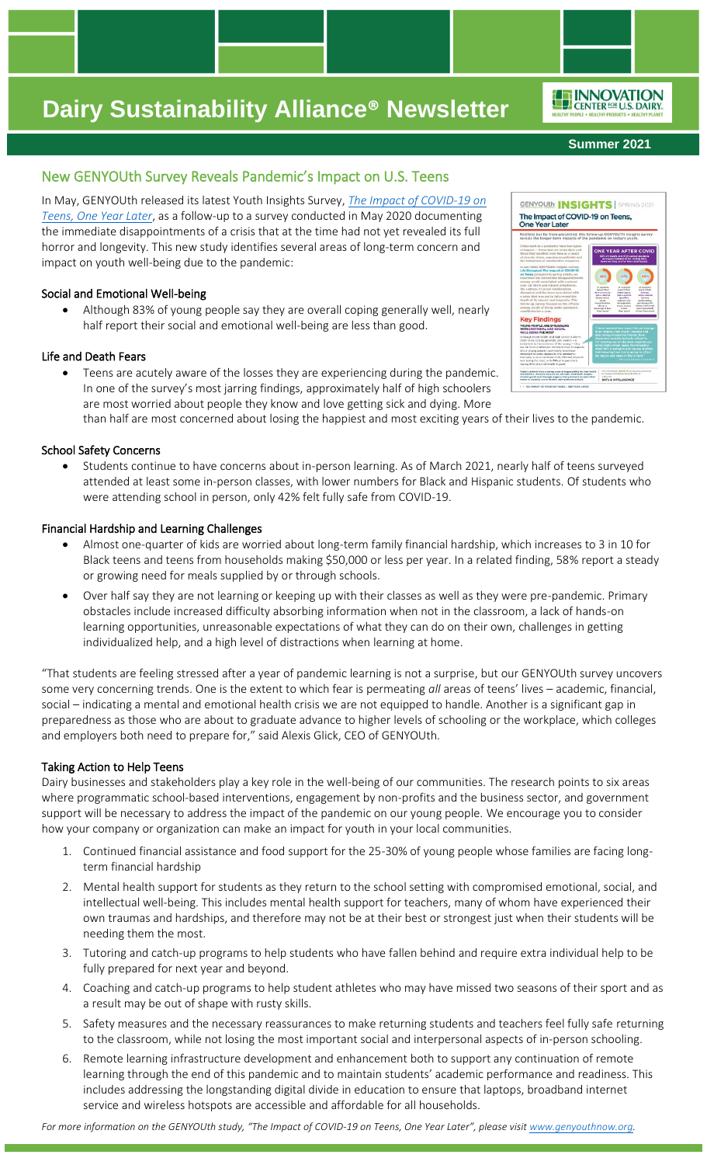#### **Summer 2021**

## New GENYOUth Survey Reveals Pandemic's Impact on U.S. Teens

In May, GENYOUth released its latest Youth Insights Survey, *[The Impact of COVID-19 on](https://genyouthnow.org/wp-content/uploads/2021/05/GENYOUth-Insights_COVID-_Survey_2021_Brief_FINAL_04.15.21.pdf)  [Teens, One Year Later](https://genyouthnow.org/wp-content/uploads/2021/05/GENYOUth-Insights_COVID-_Survey_2021_Brief_FINAL_04.15.21.pdf)*, as a follow-up to a survey conducted in May 2020 documenting the immediate disappointments of a crisis that at the time had not yet revealed its full horror and longevity. This new study identifies several areas of long-term concern and impact on youth well-being due to the pandemic:

### Social and Emotional Well-being

• Although 83% of young people say they are overall coping generally well, nearly half report their social and emotional well-being are less than good.

### Life and Death Fears

Teens are acutely aware of the losses they are experiencing during the pandemic. In one of the survey's most jarring findings, approximately half of high schoolers are most worried about people they know and love getting sick and dying. More

than half are most concerned about losing the happiest and most exciting years of their lives to the pandemic.

### School Safety Concerns

• Students continue to have concerns about in-person learning. As of March 2021, nearly half of teens surveyed attended at least some in-person classes, with lower numbers for Black and Hispanic students. Of students who were attending school in person, only 42% felt fully safe from COVID-19.

### Financial Hardship and Learning Challenges

- Almost one-quarter of kids are worried about long-term family financial hardship, which increases to 3 in 10 for Black teens and teens from households making \$50,000 or less per year. In a related finding, 58% report a steady or growing need for meals supplied by or through schools.
- Over half say they are not learning or keeping up with their classes as well as they were pre-pandemic. Primary obstacles include increased difficulty absorbing information when not in the classroom, a lack of hands-on learning opportunities, unreasonable expectations of what they can do on their own, challenges in getting individualized help, and a high level of distractions when learning at home.

"That students are feeling stressed after a year of pandemic learning is not a surprise, but our GENYOUth survey uncovers some very concerning trends. One is the extent to which fear is permeating *all* areas of teens' lives – academic, financial, social – indicating a mental and emotional health crisis we are not equipped to handle. Another is a significant gap in preparedness as those who are about to graduate advance to higher levels of schooling or the workplace, which colleges and employers both need to prepare for," said Alexis Glick, CEO of GENYOUth.

## Taking Action to Help Teens

Dairy businesses and stakeholders play a key role in the well-being of our communities. The research points to six areas where programmatic school-based interventions, engagement by non-profits and the business sector, and government support will be necessary to address the impact of the pandemic on our young people. We encourage you to consider how your company or organization can make an impact for youth in your local communities.

- 1. Continued financial assistance and food support for the 25-30% of young people whose families are facing longterm financial hardship
- 2. Mental health support for students as they return to the school setting with compromised emotional, social, and intellectual well-being. This includes mental health support for teachers, many of whom have experienced their own traumas and hardships, and therefore may not be at their best or strongest just when their students will be needing them the most.
- 3. Tutoring and catch-up programs to help students who have fallen behind and require extra individual help to be fully prepared for next year and beyond.
- 4. Coaching and catch-up programs to help student athletes who may have missed two seasons of their sport and as a result may be out of shape with rusty skills.
- 5. Safety measures and the necessary reassurances to make returning students and teachers feel fully safe returning to the classroom, while not losing the most important social and interpersonal aspects of in-person schooling.
- 6. Remote learning infrastructure development and enhancement both to support any continuation of remote learning through the end of this pandemic and to maintain students' academic performance and readiness. This includes addressing the longstanding digital divide in education to ensure that laptops, broadband internet service and wireless hotspots are accessible and affordable for all households.

*For more information on the GENYOUth study, "The Impact of COVID-19 on Teens, One Year Later", please visit [www.genyouthnow.org.](http://www.genyouthnow.org/)*



ENNOVATION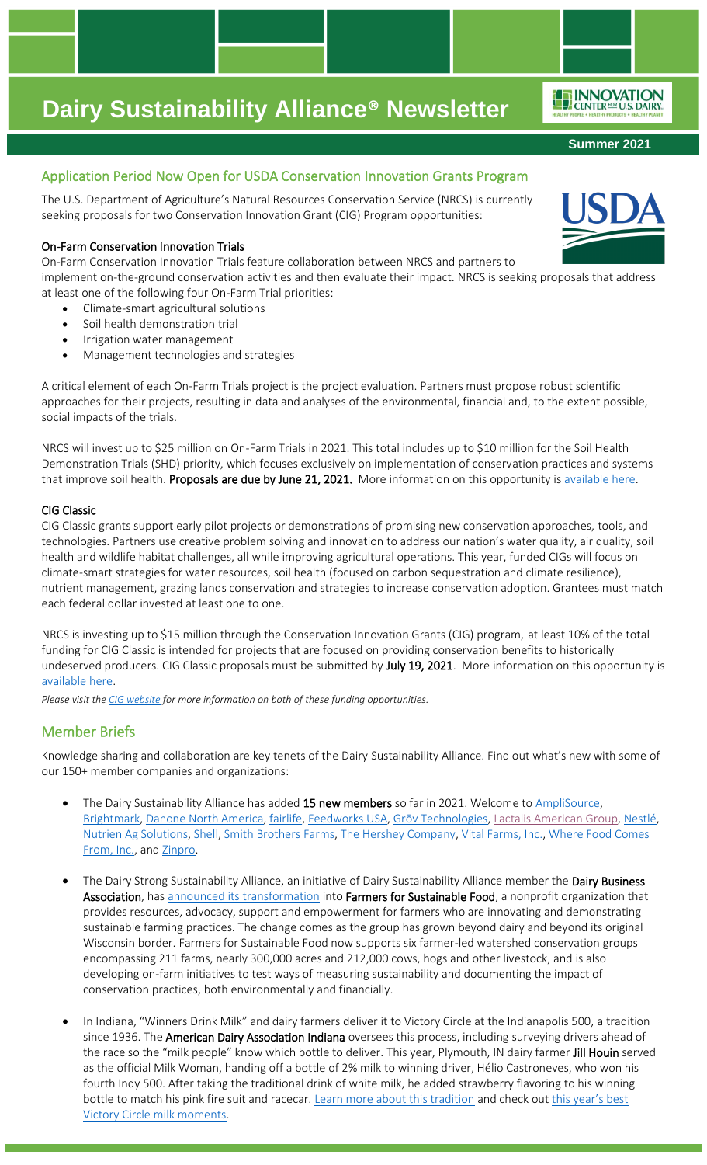## Application Period Now Open for USDA Conservation Innovation Grants Program

The U.S. Department of Agriculture's Natural Resources Conservation Service (NRCS) is currently seeking proposals for two Conservation Innovation Grant (CIG) Program opportunities:

### On-Farm Conservation Innovation Trials

On-Farm Conservation Innovation Trials feature collaboration between NRCS and partners to

implement on-the-ground conservation activities and then evaluate their impact. NRCS is seeking proposals that address at least one of the following four On-Farm Trial priorities:

- Climate-smart agricultural solutions
- Soil health demonstration trial
- Irrigation water management
- Management technologies and strategies

A critical element of each On-Farm Trials project is the project evaluation. Partners must propose robust scientific approaches for their projects, resulting in data and analyses of the environmental, financial and, to the extent possible, social impacts of the trials.

NRCS will invest up to \$25 million on On-Farm Trials in 2021. This total includes up to \$10 million for the Soil Health Demonstration Trials (SHD) priority, which focuses exclusively on implementation of conservation practices and systems that improve soil health. Proposals are due by June 21, 2021. More information on this opportunity i[s available here.](https://www.nrcs.usda.gov/wps/portal/nrcs/detail/national/newsroom/releases/?cid=nrcseprd1767429)

### CIG Classic

CIG Classic grants support early pilot projects or demonstrations of promising new conservation approaches, tools, and technologies. Partners use creative problem solving and innovation to address our nation's water quality, air quality, soil health and wildlife habitat challenges, all while improving agricultural operations. This year, funded CIGs will focus on climate-smart strategies for water resources, soil health (focused on carbon sequestration and climate resilience), nutrient management, grazing lands conservation and strategies to increase conservation adoption. Grantees must match each federal dollar invested at least one to one.

NRCS is investing up to \$15 million through the Conservation Innovation Grants (CIG) program, at least 10% of the total funding for CIG Classic is intended for projects that are focused on providing conservation benefits to historically undeserved producers. CIG Classic proposals must be submitted by July 19, 2021. More information on this opportunity is [available here.](https://www.nrcs.usda.gov/wps/portal/nrcs/detail/national/newsroom/releases/?cid=nrcseprd1778431)

*Please visit th[e CIG website](https://www.nrcs.usda.gov/wps/portal/nrcs/main/national/programs/financial/cig/) for more information on both of these funding opportunities.* 

## Member Briefs

Knowledge sharing and collaboration are key tenets of the Dairy Sustainability Alliance. Find out what's new with some of our 150+ member companies and organizations:

- The Dairy Sustainability Alliance has added 15 new members so far in 2021. Welcome t[o AmpliSource,](http://www.amplisource.com/) [Brightmark,](http://www.brightmark.com/) [Danone North America,](https://www.danonenorthamerica.com/) [fairlife,](http://www.fairlife.com/) [Feedworks USA,](http://www.feedworksusa.com/) Grōv [Technologies,](http://www.grovtech.com/) [Lactalis American](https://lactalisamericangroup.com/) Group, [Nestlé,](https://www.nestle.com/) [Nutrien Ag Solutions,](https://www.nutrienagsolutions.com/) [Shell,](http://www.shell.com/) [Smith Brothers Farms,](https://www.smithbrothersfarms.com/) [The Hershey Company,](http://www.thehersheycompany.com/) [Vital Farms, Inc.,](https://vitalfarms.com/) [Where Food Comes](http://www.wherefoodcomesfrom.com/)  [From, Inc.,](http://www.wherefoodcomesfrom.com/) an[d Zinpro.](https://www.zinpro.com/)
- The Dairy Strong Sustainability Alliance, an initiative of Dairy Sustainability Alliance member the Dairy Business Association, has [announced its transformation](https://farmersforsustainablefood.com/farmers-for-sustainable-food-marks-transformation-of-conservation-alliance/) into Farmers for Sustainable Food, a nonprofit organization that provides resources, advocacy, support and empowerment for farmers who are innovating and demonstrating sustainable farming practices. The change comes as the group has grown beyond dairy and beyond its original Wisconsin border. Farmers for Sustainable Food now supports six farmer-led watershed conservation groups encompassing 211 farms, nearly 300,000 acres and 212,000 cows, hogs and other livestock, and is also developing on-farm initiatives to test ways of measuring sustainability and documenting the impact of conservation practices, both environmentally and financially.
- In Indiana, "Winners Drink Milk" and dairy farmers deliver it to Victory Circle at the Indianapolis 500, a tradition since 1936. The **American Dairy Association Indiana** oversees this process, including surveying drivers ahead of the race so the "milk people" know which bottle to deliver. This year, Plymouth, IN dairy farmer Jill Houin served as the official Milk Woman, handing off a bottle of 2% milk to winning driver, Hélio Castroneves, who won his fourth Indy 500. After taking the traditional drink of white milk, he added strawberry flavoring to his winning bottle to match his pink fire suit and racecar. [Learn more about this tradition](https://winnersdrinkmilk.com/community/milk-tradition/) and check out this year's best [Victory Circle milk moments.](https://ftw.usatoday.com/gallery/indy-500-helio-castroneves-photos-milk-videos)





**Summer 2021**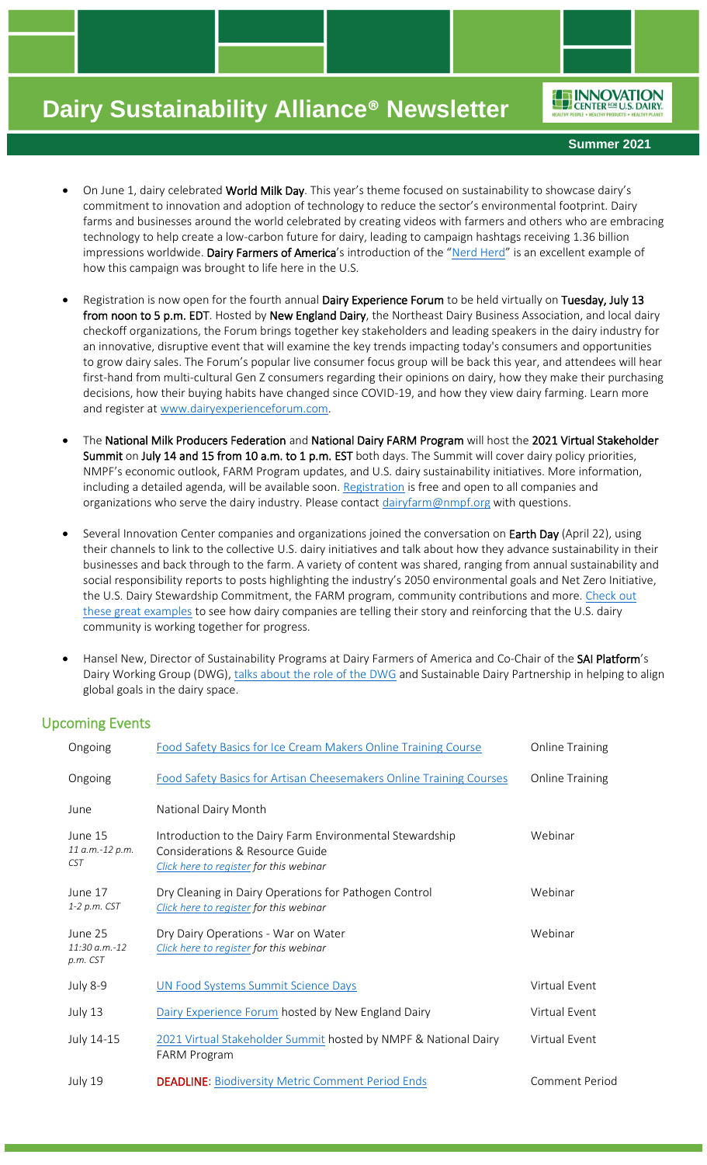ENNOVATION

**Summer 2021**

- On June 1, dairy celebrated World Milk Day. This year's theme focused on sustainability to showcase dairy's commitment to innovation and adoption of technology to reduce the sector's environmental footprint. Dairy farms and businesses around the world celebrated by creating videos with farmers and others who are embracing technology to help create a low-carbon future for dairy, leading to campaign hashtags receiving 1.36 billion impressions worldwide. Dairy Farmers of America's introduction of the "[Nerd Herd](https://twitter.com/dfamilk/status/1399722976078086146?s=20)" is an excellent example of how this campaign was brought to life here in the U.S.
- Registration is now open for the fourth annual Dairy Experience Forum to be held virtually on Tuesday, July 13 from noon to 5 p.m. EDT. Hosted by New England Dairy, the Northeast Dairy Business Association, and local dairy checkoff organizations, the Forum brings together key stakeholders and leading speakers in the dairy industry for an innovative, disruptive event that will examine the key trends impacting today's consumers and opportunities to grow dairy sales. The Forum's popular live consumer focus group will be back this year, and attendees will hear first-hand from multi-cultural Gen Z consumers regarding their opinions on dairy, how they make their purchasing decisions, how their buying habits have changed since COVID-19, and how they view dairy farming. Learn more and register at [www.dairyexperienceforum.com.](http://www.dairyexperienceforum.com/)
- The National Milk Producers Federation and National Dairy FARM Program will host the 2021 Virtual Stakeholder Summit on July 14 and 15 from 10 a.m. to 1 p.m. EST both days. The Summit will cover dairy policy priorities, NMPF's economic outlook, FARM Program updates, and U.S. dairy sustainability initiatives. More information, including a detailed agenda, will be available soon. [Registration](https://us02web.zoom.us/meeting/register/tZUqf-CvrDMoHt1-UGSTObDRMH3jFwUkibwG?_x_zm_rtaid=D2GeHnS_SJGOkwhw5eCECw.1622734881837.c73a85d23b47a9d6093a66f984e023ae&_x_zm_rhtaid=142) is free and open to all companies and organizations who serve the dairy industry. Please contact [dairyfarm@nmpf.org](mailto:dairyfarm@nmpf.org) with questions.
- Several Innovation Center companies and organizations joined the conversation on Earth Day (April 22), using their channels to link to the collective U.S. dairy initiatives and talk about how they advance sustainability in their businesses and back through to the farm. A variety of content was shared, ranging from annual sustainability and social responsibility reports to posts highlighting the industry's 2050 environmental goals and Net Zero Initiative, the U.S. Dairy Stewardship Commitment, the FARM program, community contributions and more. Check out [these great examples](https://rosedmi-my.sharepoint.com/:b:/g/personal/angela_hessinger_dairy_org/EUThQzhS67xClggnFKI6W98BLh1kOdOR4Su9Dn0b4bOv2Q?e=NpaMfH) to see how dairy companies are telling their story and reinforcing that the U.S. dairy community is working together for progress.
- Hansel New, Director of Sustainability Programs at Dairy Farmers of America and Co-Chair of the SAI Platform's Dairy Working Group (DWG), [talks about the role of the DWG](https://www.linkedin.com/posts/innovation-center-for-us-dairy_the-dairy-working-group-addresses-key-sector-activity-6805888459773878273-Ytd4) and Sustainable Dairy Partnership in helping to align global goals in the dairy space.

## Upcoming Events

| Ongoing                                    | Food Safety Basics for Ice Cream Makers Online Training Course                                                                         | <b>Online Training</b> |
|--------------------------------------------|----------------------------------------------------------------------------------------------------------------------------------------|------------------------|
| Ongoing                                    | Food Safety Basics for Artisan Cheesemakers Online Training Courses                                                                    | <b>Online Training</b> |
| June                                       | National Dairy Month                                                                                                                   |                        |
| June 15<br>11 a.m.-12 p.m.<br><b>CST</b>   | Introduction to the Dairy Farm Environmental Stewardship<br>Considerations & Resource Guide<br>Click here to register for this webinar | Webinar                |
| June 17<br>1-2 p.m. CST                    | Dry Cleaning in Dairy Operations for Pathogen Control<br>Click here to register for this webinar                                       | Webinar                |
| June 25<br>$11:30 a.m.-12$<br>$p.m.$ $CST$ | Dry Dairy Operations - War on Water<br>Click here to register for this webinar                                                         | Webinar                |
| <b>July 8-9</b>                            | UN Food Systems Summit Science Days                                                                                                    | Virtual Event          |
| July 13                                    | Dairy Experience Forum hosted by New England Dairy                                                                                     | Virtual Event          |
| July 14-15                                 | 2021 Virtual Stakeholder Summit hosted by NMPF & National Dairy<br><b>FARM Program</b>                                                 | Virtual Event          |
| July 19                                    | <b>DEADLINE: Biodiversity Metric Comment Period Ends</b>                                                                               | Comment Period         |